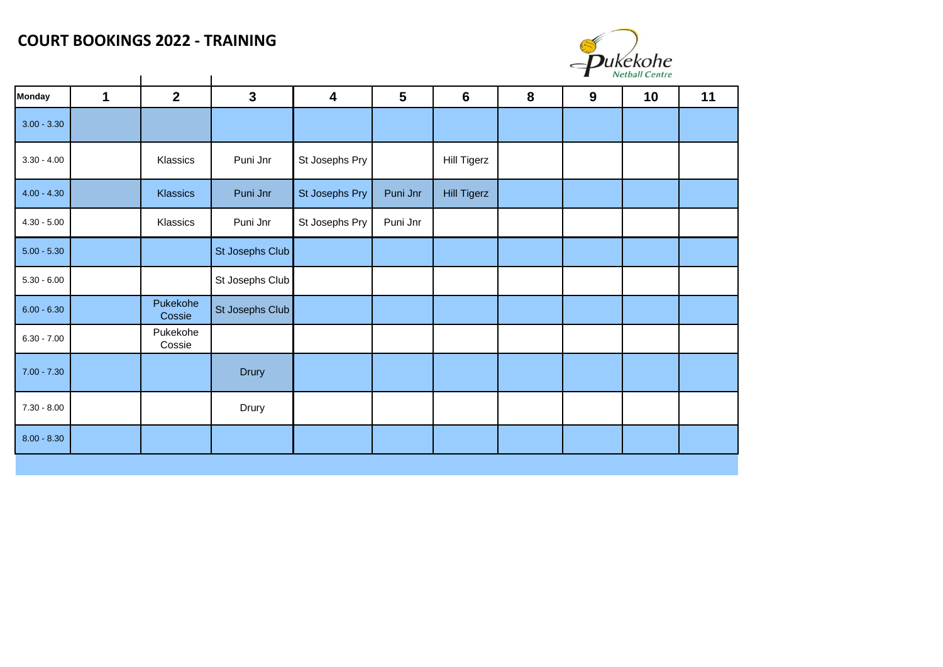## **COURT BOOKINGS 2022 - TRAINING**



|               |   |                    |                 |                         |                |                    |   | 7 | Netball Centre |    |
|---------------|---|--------------------|-----------------|-------------------------|----------------|--------------------|---|---|----------------|----|
| <b>Monday</b> | 1 | $\overline{2}$     | $\mathbf{3}$    | $\overline{\mathbf{4}}$ | $5\phantom{1}$ | $6\phantom{1}6$    | 8 | 9 | 10             | 11 |
| $3.00 - 3.30$ |   |                    |                 |                         |                |                    |   |   |                |    |
| $3.30 - 4.00$ |   | Klassics           | Puni Jnr        | St Josephs Pry          |                | <b>Hill Tigerz</b> |   |   |                |    |
| $4.00 - 4.30$ |   | Klassics           | Puni Jnr        | St Josephs Pry          | Puni Jnr       | <b>Hill Tigerz</b> |   |   |                |    |
| $4.30 - 5.00$ |   | Klassics           | Puni Jnr        | St Josephs Pry          | Puni Jnr       |                    |   |   |                |    |
| $5.00 - 5.30$ |   |                    | St Josephs Club |                         |                |                    |   |   |                |    |
| $5.30 - 6.00$ |   |                    | St Josephs Club |                         |                |                    |   |   |                |    |
| $6.00 - 6.30$ |   | Pukekohe<br>Cossie | St Josephs Club |                         |                |                    |   |   |                |    |
| $6.30 - 7.00$ |   | Pukekohe<br>Cossie |                 |                         |                |                    |   |   |                |    |
| $7.00 - 7.30$ |   |                    | <b>Drury</b>    |                         |                |                    |   |   |                |    |
| $7.30 - 8.00$ |   |                    | Drury           |                         |                |                    |   |   |                |    |
| $8.00 - 8.30$ |   |                    |                 |                         |                |                    |   |   |                |    |
|               |   |                    |                 |                         |                |                    |   |   |                |    |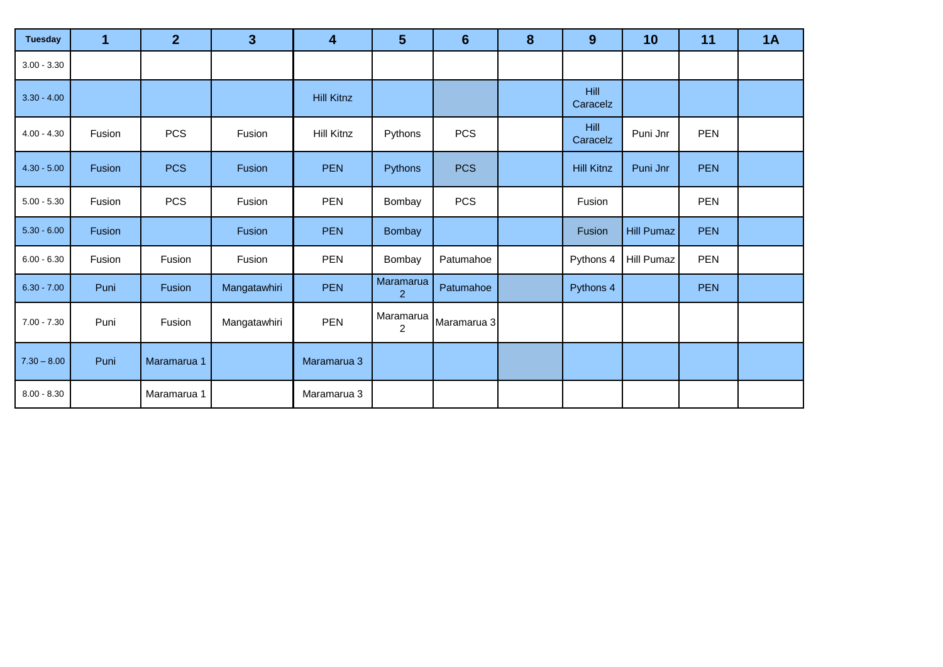| <b>Tuesday</b> |        | 2 <sup>1</sup> | $\overline{3}$ | 4                 | 5                           | $6\phantom{1}$ | 8 | 9                       | 10                | 11         | 1A |
|----------------|--------|----------------|----------------|-------------------|-----------------------------|----------------|---|-------------------------|-------------------|------------|----|
| $3.00 - 3.30$  |        |                |                |                   |                             |                |   |                         |                   |            |    |
| $3.30 - 4.00$  |        |                |                | <b>Hill Kitnz</b> |                             |                |   | <b>Hill</b><br>Caracelz |                   |            |    |
| $4.00 - 4.30$  | Fusion | <b>PCS</b>     | Fusion         | Hill Kitnz        | Pythons                     | <b>PCS</b>     |   | <b>Hill</b><br>Caracelz | Puni Jnr          | <b>PEN</b> |    |
| $4.30 - 5.00$  | Fusion | <b>PCS</b>     | Fusion         | <b>PEN</b>        | Pythons                     | <b>PCS</b>     |   | <b>Hill Kitnz</b>       | Puni Jnr          | <b>PEN</b> |    |
| $5.00 - 5.30$  | Fusion | <b>PCS</b>     | Fusion         | <b>PEN</b>        | Bombay                      | <b>PCS</b>     |   | Fusion                  |                   | <b>PEN</b> |    |
| $5.30 - 6.00$  | Fusion |                | Fusion         | <b>PEN</b>        | Bombay                      |                |   | Fusion                  | <b>Hill Pumaz</b> | <b>PEN</b> |    |
| $6.00 - 6.30$  | Fusion | Fusion         | Fusion         | <b>PEN</b>        | Bombay                      | Patumahoe      |   | Pythons 4               | <b>Hill Pumaz</b> | <b>PEN</b> |    |
| $6.30 - 7.00$  | Puni   | Fusion         | Mangatawhiri   | <b>PEN</b>        | Maramarua<br>$\overline{2}$ | Patumahoe      |   | Pythons 4               |                   | <b>PEN</b> |    |
| $7.00 - 7.30$  | Puni   | Fusion         | Mangatawhiri   | <b>PEN</b>        | Maramarua<br>$\overline{2}$ | Maramarua 3    |   |                         |                   |            |    |
| $7.30 - 8.00$  | Puni   | Maramarua 1    |                | Maramarua 3       |                             |                |   |                         |                   |            |    |
| $8.00 - 8.30$  |        | Maramarua 1    |                | Maramarua 3       |                             |                |   |                         |                   |            |    |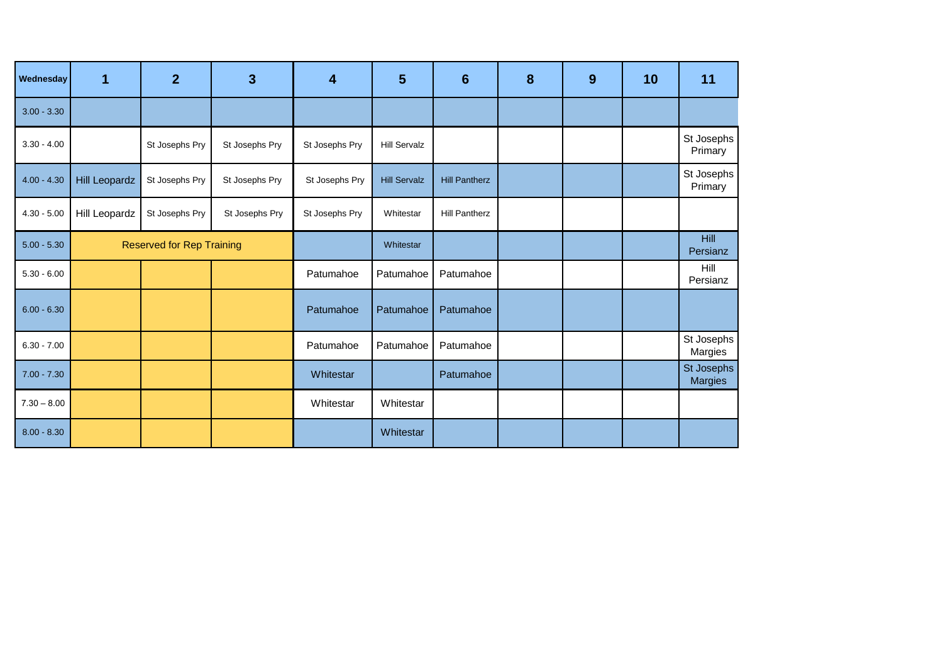| Wednesday     | 1                                | $\overline{2}$ | 3              | 4              | 5                   | $6\phantom{1}6$      | 8 | 9 | 10 | 11                           |
|---------------|----------------------------------|----------------|----------------|----------------|---------------------|----------------------|---|---|----|------------------------------|
| $3.00 - 3.30$ |                                  |                |                |                |                     |                      |   |   |    |                              |
| $3.30 - 4.00$ |                                  | St Josephs Pry | St Josephs Pry | St Josephs Pry | <b>Hill Servalz</b> |                      |   |   |    | St Josephs<br>Primary        |
| $4.00 - 4.30$ | <b>Hill Leopardz</b>             | St Josephs Pry | St Josephs Pry | St Josephs Pry | <b>Hill Servalz</b> | <b>Hill Pantherz</b> |   |   |    | St Josephs<br>Primary        |
| $4.30 - 5.00$ | Hill Leopardz                    | St Josephs Pry | St Josephs Pry | St Josephs Pry | Whitestar           | <b>Hill Pantherz</b> |   |   |    |                              |
| $5.00 - 5.30$ | <b>Reserved for Rep Training</b> |                |                |                | Whitestar           |                      |   |   |    | Hill<br>Persianz             |
| $5.30 - 6.00$ |                                  |                |                | Patumahoe      | Patumahoe           | Patumahoe            |   |   |    | Hill<br>Persianz             |
| $6.00 - 6.30$ |                                  |                |                | Patumahoe      | Patumahoe           | Patumahoe            |   |   |    |                              |
| $6.30 - 7.00$ |                                  |                |                | Patumahoe      | Patumahoe           | Patumahoe            |   |   |    | St Josephs<br>Margies        |
| $7.00 - 7.30$ |                                  |                |                | Whitestar      |                     | Patumahoe            |   |   |    | St Josephs<br><b>Margies</b> |
| $7.30 - 8.00$ |                                  |                |                | Whitestar      | Whitestar           |                      |   |   |    |                              |
| $8.00 - 8.30$ |                                  |                |                |                | Whitestar           |                      |   |   |    |                              |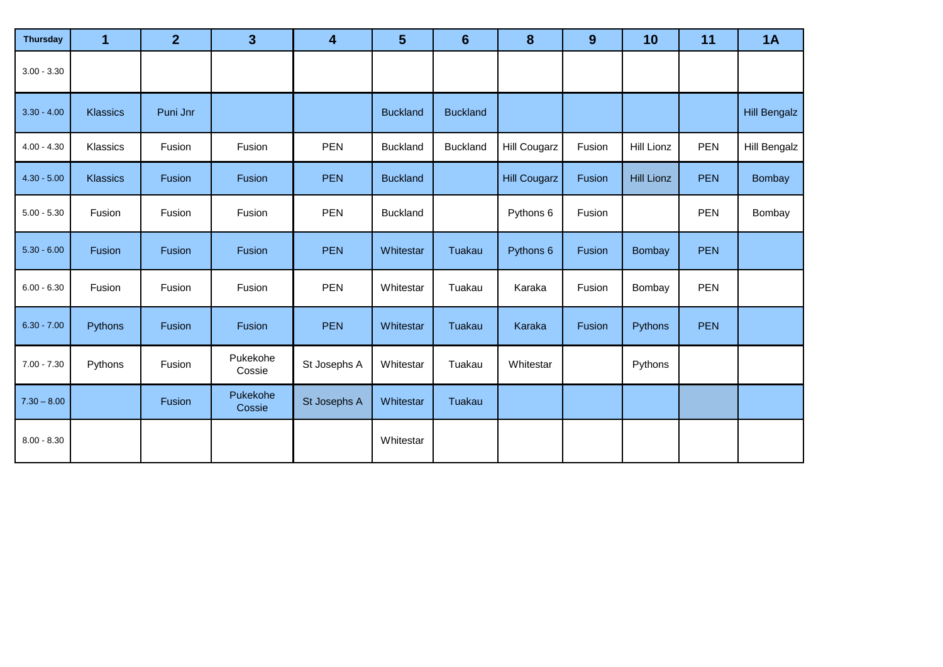| <b>Thursday</b> | 1               | $\mathbf{2}$ | 3 <sup>5</sup>     | 4            | 5               | $6\phantom{1}6$ | 8                   | 9      | 10                | 11         | 1A                  |
|-----------------|-----------------|--------------|--------------------|--------------|-----------------|-----------------|---------------------|--------|-------------------|------------|---------------------|
| $3.00 - 3.30$   |                 |              |                    |              |                 |                 |                     |        |                   |            |                     |
| $3.30 - 4.00$   | <b>Klassics</b> | Puni Jnr     |                    |              | <b>Buckland</b> | <b>Buckland</b> |                     |        |                   |            | <b>Hill Bengalz</b> |
| $4.00 - 4.30$   | Klassics        | Fusion       | Fusion             | <b>PEN</b>   | <b>Buckland</b> | <b>Buckland</b> | <b>Hill Cougarz</b> | Fusion | <b>Hill Lionz</b> | PEN        | <b>Hill Bengalz</b> |
| $4.30 - 5.00$   | <b>Klassics</b> | Fusion       | Fusion             | <b>PEN</b>   | <b>Buckland</b> |                 | <b>Hill Cougarz</b> | Fusion | <b>Hill Lionz</b> | <b>PEN</b> | <b>Bombay</b>       |
| $5.00 - 5.30$   | Fusion          | Fusion       | Fusion             | <b>PEN</b>   | <b>Buckland</b> |                 | Pythons 6           | Fusion |                   | <b>PEN</b> | Bombay              |
| $5.30 - 6.00$   | Fusion          | Fusion       | Fusion             | <b>PEN</b>   | Whitestar       | Tuakau          | Pythons 6           | Fusion | <b>Bombay</b>     | <b>PEN</b> |                     |
| $6.00 - 6.30$   | Fusion          | Fusion       | Fusion             | <b>PEN</b>   | Whitestar       | Tuakau          | Karaka              | Fusion | Bombay            | <b>PEN</b> |                     |
| $6.30 - 7.00$   | Pythons         | Fusion       | Fusion             | <b>PEN</b>   | Whitestar       | Tuakau          | Karaka              | Fusion | Pythons           | <b>PEN</b> |                     |
| $7.00 - 7.30$   | Pythons         | Fusion       | Pukekohe<br>Cossie | St Josephs A | Whitestar       | Tuakau          | Whitestar           |        | Pythons           |            |                     |
| $7.30 - 8.00$   |                 | Fusion       | Pukekohe<br>Cossie | St Josephs A | Whitestar       | Tuakau          |                     |        |                   |            |                     |
| $8.00 - 8.30$   |                 |              |                    |              | Whitestar       |                 |                     |        |                   |            |                     |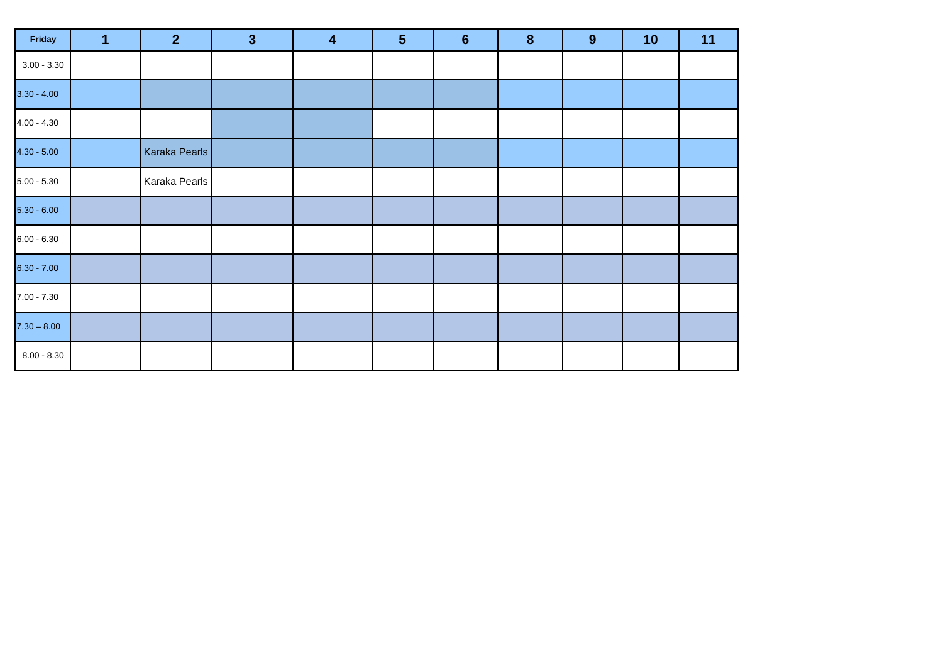| Friday        | $\overline{\mathbf{1}}$ | 2 <sup>1</sup> | $\overline{\mathbf{3}}$ | $\overline{\mathbf{4}}$ | $5\phantom{1}$ | $6\phantom{1}6$ | $\boldsymbol{8}$ | $\boldsymbol{9}$ | 10 | 11 |
|---------------|-------------------------|----------------|-------------------------|-------------------------|----------------|-----------------|------------------|------------------|----|----|
| $3.00 - 3.30$ |                         |                |                         |                         |                |                 |                  |                  |    |    |
| $3.30 - 4.00$ |                         |                |                         |                         |                |                 |                  |                  |    |    |
| $4.00 - 4.30$ |                         |                |                         |                         |                |                 |                  |                  |    |    |
| $4.30 - 5.00$ |                         | Karaka Pearls  |                         |                         |                |                 |                  |                  |    |    |
| $5.00 - 5.30$ |                         | Karaka Pearls  |                         |                         |                |                 |                  |                  |    |    |
| $5.30 - 6.00$ |                         |                |                         |                         |                |                 |                  |                  |    |    |
| $6.00 - 6.30$ |                         |                |                         |                         |                |                 |                  |                  |    |    |
| $6.30 - 7.00$ |                         |                |                         |                         |                |                 |                  |                  |    |    |
| $7.00 - 7.30$ |                         |                |                         |                         |                |                 |                  |                  |    |    |
| $7.30 - 8.00$ |                         |                |                         |                         |                |                 |                  |                  |    |    |
| $8.00 - 8.30$ |                         |                |                         |                         |                |                 |                  |                  |    |    |